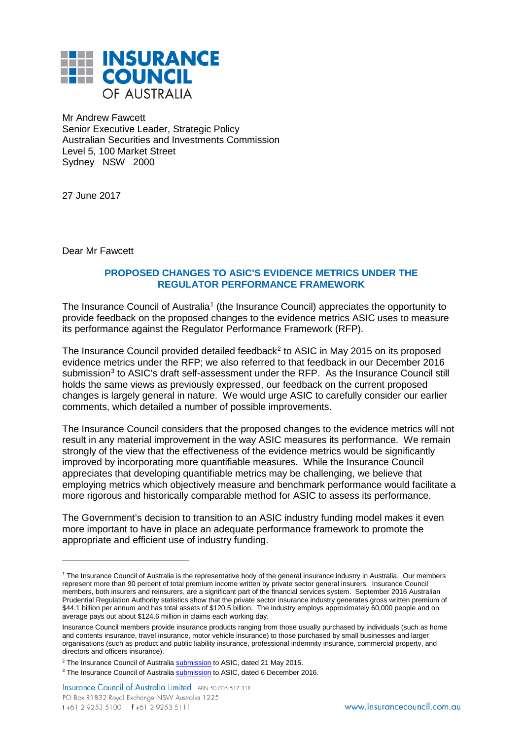

Mr Andrew Fawcett Senior Executive Leader, Strategic Policy Australian Securities and Investments Commission Level 5, 100 Market Street Sydney NSW 2000

27 June 2017

Dear Mr Fawcett

-

## **PROPOSED CHANGES TO ASIC'S EVIDENCE METRICS UNDER THE REGULATOR PERFORMANCE FRAMEWORK**

The Insurance Council of Australia<sup>[1](#page-0-0)</sup> (the Insurance Council) appreciates the opportunity to provide feedback on the proposed changes to the evidence metrics ASIC uses to measure its performance against the Regulator Performance Framework (RFP).

The Insurance Council provided detailed feedback<sup>[2](#page-0-1)</sup> to ASIC in May 2015 on its proposed evidence metrics under the RFP; we also referred to that feedback in our December 2016 submission<sup>3</sup> to ASIC's draft self-assessment under the RFP. As the Insurance Council still holds the same views as previously expressed, our feedback on the current proposed changes is largely general in nature. We would urge ASIC to carefully consider our earlier comments, which detailed a number of possible improvements.

The Insurance Council considers that the proposed changes to the evidence metrics will not result in any material improvement in the way ASIC measures its performance. We remain strongly of the view that the effectiveness of the evidence metrics would be significantly improved by incorporating more quantifiable measures. While the Insurance Council appreciates that developing quantifiable metrics may be challenging, we believe that employing metrics which objectively measure and benchmark performance would facilitate a more rigorous and historically comparable method for ASIC to assess its performance.

The Government's decision to transition to an ASIC industry funding model makes it even more important to have in place an adequate performance framework to promote the appropriate and efficient use of industry funding.

<span id="page-0-0"></span><sup>1</sup> The Insurance Council of Australia is the representative body of the general insurance industry in Australia. Our members represent more than 90 percent of total premium income written by private sector general insurers. Insurance Council members, both insurers and reinsurers, are a significant part of the financial services system. September 2016 Australian Prudential Regulation Authority statistics show that the private sector insurance industry generates gross written premium of \$44.1 billion per annum and has total assets of \$120.5 billion. The industry employs approximately 60,000 people and on average pays out about \$124.6 million in claims each working day.

Insurance Council members provide insurance products ranging from those usually purchased by individuals (such as home and contents insurance, travel insurance, motor vehicle insurance) to those purchased by small businesses and larger organisations (such as product and public liability insurance, professional indemnity insurance, commercial property, and directors and officers insurance).

<span id="page-0-1"></span><sup>&</sup>lt;sup>2</sup> The Insurance Council of Australia **[submission](http://www.insurancecouncil.com.au/assets/submission/2015/May%202015/2015_05_21_ASIC%20Regulator%20Performance%20Framework.pdf)** to ASIC, dated 21 May 2015.

<span id="page-0-2"></span><sup>&</sup>lt;sup>3</sup> The Insurance Council of Australia **[submission](http://www.insurancecouncil.com.au/assets/submission/2016/December%202016/2016_12_06_ICA_Submission_ASIC_Performance_Self-assessment_2015-16.pdf)** to ASIC, dated 6 December 2016.